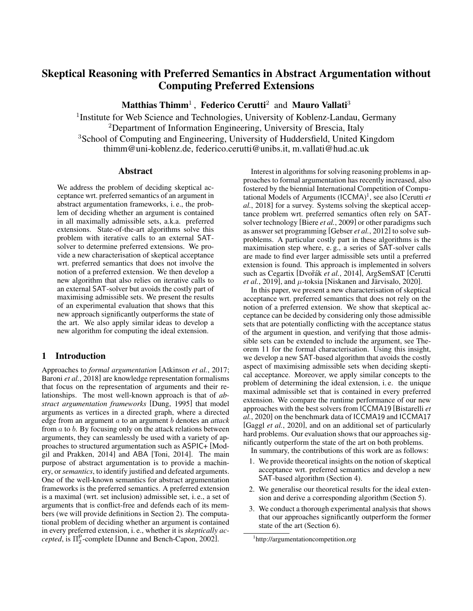# Skeptical Reasoning with Preferred Semantics in Abstract Argumentation without Computing Preferred Extensions

Matthias Thimm<sup>1</sup>, Federico Cerutti<sup>2</sup> and Mauro Vallati<sup>3</sup>

<sup>1</sup> Institute for Web Science and Technologies, University of Koblenz-Landau, Germany <sup>2</sup>Department of Information Engineering, University of Brescia, Italy <sup>3</sup>School of Computing and Engineering, University of Huddersfield, United Kingdom thimm@uni-koblenz.de, federico.cerutti@unibs.it, m.vallati@hud.ac.uk

### Abstract

We address the problem of deciding skeptical acceptance wrt. preferred semantics of an argument in abstract argumentation frameworks, i. e., the problem of deciding whether an argument is contained in all maximally admissible sets, a.k.a. preferred extensions. State-of-the-art algorithms solve this problem with iterative calls to an external SATsolver to determine preferred extensions. We provide a new characterisation of skeptical acceptance wrt. preferred semantics that does not involve the notion of a preferred extension. We then develop a new algorithm that also relies on iterative calls to an external SAT-solver but avoids the costly part of maximising admissible sets. We present the results of an experimental evaluation that shows that this new approach significantly outperforms the state of the art. We also apply similar ideas to develop a new algorithm for computing the ideal extension.

# 1 Introduction

Approaches to *formal argumentation* [\[Atkinson](#page-6-0) *et al.*, 2017; Baroni *et al.*[, 2018\]](#page-6-1) are knowledge representation formalisms that focus on the representation of arguments and their relationships. The most well-known approach is that of *abstract argumentation frameworks* [\[Dung, 1995\]](#page-6-2) that model arguments as vertices in a directed graph, where a directed edge from an argument a to an argument b denotes an *attack* from  $a$  to  $b$ . By focusing only on the attack relations between arguments, they can seamlessly be used with a variety of approaches to structured argumentation such as ASPIC+ [\[Mod](#page-6-3)[gil and Prakken, 2014\]](#page-6-3) and ABA [\[Toni, 2014\]](#page-6-4). The main purpose of abstract argumentation is to provide a machinery, or*semantics*, to identify justified and defeated arguments. One of the well-known semantics for abstract argumentation frameworks is the preferred semantics. A preferred extension is a maximal (wrt. set inclusion) admissible set, i. e., a set of arguments that is conflict-free and defends each of its members (we will provide definitions in Section [2\)](#page-1-0). The computational problem of deciding whether an argument is contained in every preferred extension, i. e., whether it is *skeptically ac-* $\emph{cepted}, \emph{is} \Pi_2^{\rm P}$ -complete [\[Dunne and Bench-Capon, 2002\]](#page-6-5).

Interest in algorithms for solving reasoning problems in approaches to formal argumentation has recently increased, also fostered by the biennial International Competition of Computational Models of Arguments (ICCMA) [1](#page-0-0) , see also [\[Cerutti](#page-6-6) *et al.*[, 2018\]](#page-6-6) for a survey. Systems solving the skeptical acceptance problem wrt. preferred semantics often rely on SATsolver technology [Biere *et al.*[, 2009\]](#page-6-7) or other paradigms such as answer set programming [\[Gebser](#page-6-8) *et al.*, 2012] to solve subproblems. A particular costly part in these algorithms is the maximisation step where, e. g., a series of SAT-solver calls are made to find ever larger admissible sets until a preferred extension is found. This approach is implemented in solvers such as Cegartix [Dvořák et al., 2014], ArgSemSAT [\[Cerutti](#page-6-10) *et al.*[, 2019\]](#page-6-10), and  $\mu$ -toksia [Niskanen and Järvisalo, 2020].

In this paper, we present a new characterisation of skeptical acceptance wrt. preferred semantics that does not rely on the notion of a preferred extension. We show that skeptical acceptance can be decided by considering only those admissible sets that are potentially conflicting with the acceptance status of the argument in question, and verifying that those admissible sets can be extended to include the argument, see Theorem [11](#page-2-0) for the formal characterisation. Using this insight, we develop a new SAT-based algorithm that avoids the costly aspect of maximising admissible sets when deciding skeptical acceptance. Moreover, we apply similar concepts to the problem of determining the ideal extension, i. e. the unique maximal admissible set that is contained in every preferred extension. We compare the runtime performance of our new approaches with the best solvers from ICCMA19 [\[Bistarelli](#page-6-12) *et al.*[, 2020\]](#page-6-12) on the benchmark data of ICCMA19 and ICCMA17 [Gaggl *et al.*[, 2020\]](#page-6-13), and on an additional set of particularly hard problems. Our evaluation shows that our approaches significantly outperform the state of the art on both problems.

In summary, the contributions of this work are as follows:

- 1. We provide theoretical insights on the notion of skeptical acceptance wrt. preferred semantics and develop a new SAT-based algorithm (Section [4\)](#page-2-1).
- 2. We generalise our theoretical results for the ideal extension and derive a corresponding algorithm (Section [5\)](#page-3-0).
- 3. We conduct a thorough experimental analysis that shows that our approaches significantly outperform the former state of the art (Section [6\)](#page-4-0).

<span id="page-0-0"></span><sup>1</sup> <http://argumentationcompetition.org>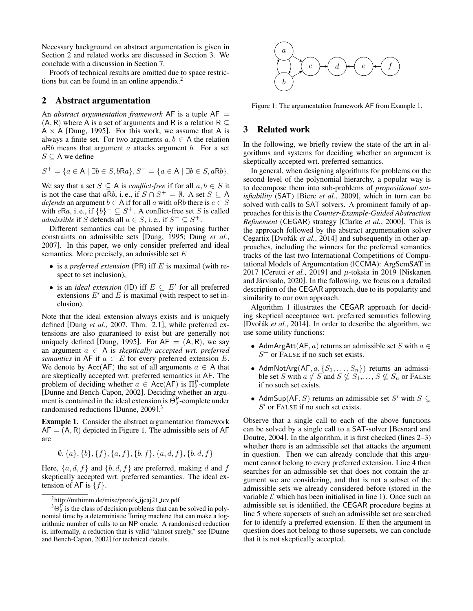Necessary background on abstract argumentation is given in Section [2](#page-1-0) and related works are discussed in Section [3.](#page-1-1) We conclude with a discussion in Section [7.](#page-5-0)

Proofs of technical results are omitted due to space restrictions but can be found in an online appendix. $^2$  $^2$ 

### <span id="page-1-0"></span>2 Abstract argumentation

An *abstract argumentation framework* AF is a tuple  $AF =$  $(A, R)$  where A is a set of arguments and R is a relation R  $\subseteq$  $A \times A$  [\[Dung, 1995\]](#page-6-2). For this work, we assume that A is always a finite set. For two arguments  $a, b \in A$  the relation  $aRb$  means that argument a attacks argument b. For a set  $S \subseteq A$  we define

$$
S^+ = \{a \in \mathsf{A} \mid \exists b \in S, b\mathsf{R}a\}, S^- = \{a \in \mathsf{A} \mid \exists b \in S, a\mathsf{R}b\}.
$$

We say that a set  $S \subseteq A$  is *conflict-free* if for all  $a, b \in S$  it is not the case that aRb, i. e., if  $S \cap S^+ = \emptyset$ . A set  $S \subseteq A$ *defends* an argument  $b \in A$  if for all a with aRb there is  $c \in S$ with  $cRa$ , i.e., if  $\{b\}^- \subseteq S^+$ . A conflict-free set S is called *admissible* if S defends all  $a \in S$ , i.e., if  $S^- \subseteq S^+$ .

Different semantics can be phrased by imposing further constraints on admissible sets [\[Dung, 1995;](#page-6-2) [Dung](#page-6-14) *et al.*, [2007\]](#page-6-14). In this paper, we only consider preferred and ideal semantics. More precisely, an admissible set  $E$ 

- is a *preferred extension* (PR) iff E is maximal (with respect to set inclusion),
- is an *ideal extension* (ID) iff  $E \subseteq E'$  for all preferred extensions  $E'$  and  $E$  is maximal (with respect to set inclusion).

Note that the ideal extension always exists and is uniquely defined [Dung *et al.*[, 2007,](#page-6-14) Thm. 2.1], while preferred extensions are also guaranteed to exist but are generally not uniquely defined [\[Dung, 1995\]](#page-6-2). For  $AF = (A, R)$ , we say an argument a ∈ A is *skeptically accepted wrt. preferred semantics* in AF if  $a \in E$  for every preferred extension E. We denote by Acc(AF) the set of all arguments  $a \in A$  that are skeptically accepted wrt. preferred semantics in AF. The problem of deciding whether  $a \in Acc(AF)$  is  $\Pi_2^P$ -complete [\[Dunne and Bench-Capon, 2002\]](#page-6-5). Deciding whether an argument is contained in the ideal extension is  $\Theta_2^P$ -complete under randomised reductions [\[Dunne, 2009\]](#page-6-15). [3](#page-1-3)

<span id="page-1-5"></span>Example 1. Consider the abstract argumentation framework  $AF = (A, R)$  depicted in Figure [1.](#page-1-4) The admissible sets of AF are

$$
\emptyset, \{a\}, \{b\}, \{f\}, \{a, f\}, \{b, f\}, \{a, d, f\}, \{b, d, f\}
$$

Here,  $\{a, d, f\}$  and  $\{b, d, f\}$  are preferred, making d and f skeptically accepted wrt. preferred semantics. The ideal extension of AF is  $\{f\}$ .

<span id="page-1-4"></span>

Figure 1: The argumentation framework AF from Example [1.](#page-1-5)

# <span id="page-1-1"></span>3 Related work

In the following, we briefly review the state of the art in algorithms and systems for deciding whether an argument is skeptically accepted wrt. preferred semantics.

In general, when designing algorithms for problems on the second level of the polynomial hierarchy, a popular way is to decompose them into sub-problems of *propositional satisfiability* (SAT) [Biere *et al.*[, 2009\]](#page-6-7), which in turn can be solved with calls to SAT solvers. A prominent family of approaches for this is the *Counter-Example-Guided Abstraction Refinement* (CEGAR) strategy [\[Clarke](#page-6-16) *et al.*, 2000]. This is the approach followed by the abstract argumentation solver Cegartix [Dvořák et al., 2014] and subsequently in other approaches, including the winners for the preferred semantics tracks of the last two International Competitions of Computational Models of Argumentation (ICCMA): ArgSemSAT in 2017 [\[Cerutti](#page-6-10) *et al.*, 2019] and  $\mu$ -toksia in 2019 [\[Niskanen](#page-6-11)] and Järvisalo, 2020]. In the following, we focus on a detailed description of the CEGAR approach, due to its popularity and similarity to our own approach.

Algorithm [1](#page-2-2) illustrates the CEGAR approach for deciding skeptical acceptance wrt. preferred semantics following [Dvořák et al., 2014]. In order to describe the algorithm, we use some utility functions:

- AdmArgAtt(AF, a) returns an admissible set S with  $a \in$  $S^+$  or FALSE if no such set exists.
- AdmNotArg(AF,  $a, \{S_1, \ldots, S_n\}$ ) returns an admissible set S with  $a \notin S$  and  $S \nsubseteq S_1, \ldots, S \nsubseteq S_n$  or FALSE if no such set exists.
- AdmSup(AF, S) returns an admissible set S' with  $S \subsetneq$  $S'$  or FALSE if no such set exists.

Observe that a single call to each of the above functions can be solved by a single call to a SAT-solver [\[Besnard and](#page-6-17) [Doutre, 2004\]](#page-6-17). In the algorithm, it is first checked (lines 2–3) whether there is an admissible set that attacks the argument in question. Then we can already conclude that this argument cannot belong to every preferred extension. Line 4 then searches for an admissible set that does not contain the argument we are considering, and that is not a subset of the admissible sets we already considered before (stored in the variable  $\mathcal E$  which has been initialised in line 1). Once such an admissible set is identified, the CEGAR procedure begins at line 5 where supersets of such an admissible set are searched for to identify a preferred extension. If then the argument in question does not belong to those supersets, we can conclude that it is not skeptically accepted.

<span id="page-1-3"></span><span id="page-1-2"></span><sup>&</sup>lt;sup>2</sup>[http://mthimm.de/misc/proofs](http://mthimm.de/misc/proofs_ijcaj21_tcv.pdf)\_ijcaj21\_tcv.pdf

 ${}^{3}\Theta_{2}^{P}$  is the class of decision problems that can be solved in polynomial time by a deterministic Turing machine that can make a logarithmic number of calls to an NP oracle. A randomised reduction is, informally, a reduction that is valid "almost surely," see [\[Dunne](#page-6-5) [and Bench-Capon, 2002\]](#page-6-5) for technical details.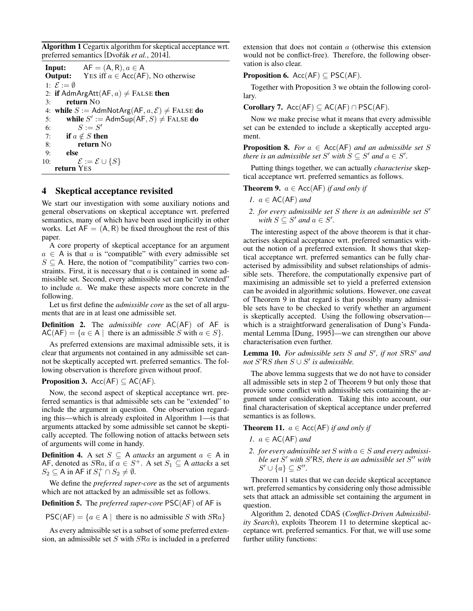<span id="page-2-2"></span>Algorithm 1 Cegartix algorithm for skeptical acceptance wrt. preferred semantics [Dvořák et al., 2014].

|                                           | <b>Input:</b> $AF = (A, R), a \in A$                             |  |  |  |  |  |  |  |
|-------------------------------------------|------------------------------------------------------------------|--|--|--|--|--|--|--|
|                                           | <b>Output:</b> YES iff $a \in Acc(AF)$ , No otherwise            |  |  |  |  |  |  |  |
| 1: $\mathcal{E} := \emptyset$             |                                                                  |  |  |  |  |  |  |  |
| 2: if AdmArgAtt $(AF, a) \neq$ FALSE then |                                                                  |  |  |  |  |  |  |  |
| 3:                                        | return No                                                        |  |  |  |  |  |  |  |
|                                           | 4: while $S :=$ AdmNotArg(AF, $a, \mathcal{E}$ ) $\neq$ FALSE do |  |  |  |  |  |  |  |
| 5:                                        | while $S' :=$ AdmSup(AF, $S$ ) $\neq$ FALSE do                   |  |  |  |  |  |  |  |
| 6:                                        | $S := S'$                                                        |  |  |  |  |  |  |  |
| 7:                                        | if $a \notin S$ then                                             |  |  |  |  |  |  |  |
| 8:                                        | return No                                                        |  |  |  |  |  |  |  |
| 9:                                        | else                                                             |  |  |  |  |  |  |  |
| 10:                                       | $\mathcal{E} := \mathcal{E} \cup \{S\}$                          |  |  |  |  |  |  |  |
|                                           | return YES                                                       |  |  |  |  |  |  |  |

## <span id="page-2-1"></span>4 Skeptical acceptance revisited

We start our investigation with some auxiliary notions and general observations on skeptical acceptance wrt. preferred semantics, many of which have been used implicitly in other works. Let  $AF = (A, R)$  be fixed throughout the rest of this paper.

A core property of skeptical acceptance for an argument  $a \in A$  is that a is "compatible" with every admissible set  $S \subseteq A$ . Here, the notion of "compatibility" carries two constraints. First, it is necessary that  $a$  is contained in some admissible set. Second, every admissible set can be "extended" to include a. We make these aspects more concrete in the following.

Let us first define the *admissible core* as the set of all arguments that are in at least one admissible set.

Definition 2. The *admissible core* AC(AF) of AF is  $AC(AF) = \{a \in A \mid \text{ there is an admissible } S \text{ with } a \in S\}.$ 

As preferred extensions are maximal admissible sets, it is clear that arguments not contained in any admissible set cannot be skeptically accepted wrt. preferred semantics. The following observation is therefore given without proof.

### <span id="page-2-3"></span>**Proposition 3.** Acc( $AF$ )  $\subseteq$  AC( $AF$ ).

Now, the second aspect of skeptical acceptance wrt. preferred semantics is that admissible sets can be "extended" to include the argument in question. One observation regarding this—which is already exploited in Algorithm [1—](#page-2-2)is that arguments attacked by some admissible set cannot be skeptically accepted. The following notion of attacks between sets of arguments will come in handy.

**Definition 4.** A set  $S \subseteq$  A *attacks* an argument  $a \in$  A in AF, denoted as  $S$ Ra, if  $a \in S^+$ . A set  $S_1 \subseteq$  A *attacks* a set  $S_2 \subseteq A$  in AF if  $S_1^+ \cap S_2 \neq \emptyset$ .

We define the *preferred super-core* as the set of arguments which are not attacked by an admissible set as follows.

Definition 5. The *preferred super-core* PSC(AF) of AF is

 $PSC(AF) = \{a \in A \mid \text{there is no admissible } S \text{ with } SRa\}$ 

As every admissible set is a subset of some preferred extension, an admissible set  $S$  with  $S$ Ra is included in a preferred extension that does not contain a (otherwise this extension would not be conflict-free). Therefore, the following observation is also clear.

**Proposition 6.** Acc( $AF$ )  $\subseteq PSC(AF)$ .

Together with Proposition [3](#page-2-3) we obtain the following corollary.

Corollary 7.  $Acc(AF) \subseteq AC(AF) \cap PSC(AF)$ .

Now we make precise what it means that every admissible set can be extended to include a skeptically accepted argument.

**Proposition 8.** *For*  $a \in Acc(AF)$  *and an admissible set* S *there is an admissible set*  $S'$  *with*  $S \subseteq S'$  *and*  $a \in S'$ *.* 

Putting things together, we can actually *characterise* skeptical acceptance wrt. preferred semantics as follows.

<span id="page-2-4"></span>**Theorem 9.**  $a \in Acc(AF)$  *if and only if* 

- *1.* a ∈ AC(AF) *and*
- 2. *for every admissible set S there is an admissible set S' with*  $S \subseteq S'$  *and*  $a \in S'$ *.*

The interesting aspect of the above theorem is that it characterises skeptical acceptance wrt. preferred semantics without the notion of a preferred extension. It shows that skeptical acceptance wrt. preferred semantics can be fully characterised by admissibility and subset relationships of admissible sets. Therefore, the computationally expensive part of maximising an admissible set to yield a preferred extension can be avoided in algorithmic solutions. However, one caveat of Theorem [9](#page-2-4) in that regard is that possibly many admissible sets have to be checked to verify whether an argument is skeptically accepted. Using the following observation which is a straightforward generalisation of Dung's Fundamental Lemma [\[Dung, 1995\]](#page-6-2)—we can strengthen our above characterisation even further.

Lemma 10. For admissible sets S and S', if not SRS' and  $not S'RS$  *then*  $S \cup S'$  *is admissible.* 

The above lemma suggests that we do not have to consider all admissible sets in step 2 of Theorem [9](#page-2-4) but only those that provide some conflict with admissible sets containing the argument under consideration. Taking this into account, our final characterisation of skeptical acceptance under preferred semantics is as follows.

<span id="page-2-0"></span>**Theorem 11.**  $a \in Acc(AF)$  *if and only if* 

- *1.* a ∈ AC(AF) *and*
- 2. *for every admissible set*  $S$  *with*  $a \in S$  *and every admissi*ble set S' with S'RS, there is an admissible set S'' with  $S' \cup \{a\} \subseteq S''.$

Theorem [11](#page-2-0) states that we can decide skeptical acceptance wrt. preferred semantics by considering only those admissible sets that attack an admissible set containing the argument in question.

Algorithm [2,](#page-3-1) denoted CDAS (*Conflict-Driven Admissibility Search*), exploits Theorem [11](#page-2-0) to determine skeptical acceptance wrt. preferred semantics. For that, we will use some further utility functions: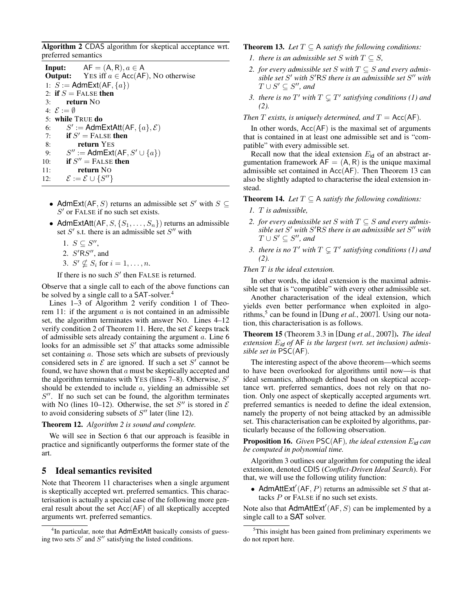<span id="page-3-1"></span>Algorithm 2 CDAS algorithm for skeptical acceptance wrt. preferred semantics

|                        | <b>Input:</b> $AF = (A, R), a \in A$                           |  |  |  |  |  |  |  |  |
|------------------------|----------------------------------------------------------------|--|--|--|--|--|--|--|--|
|                        | <b>Output:</b> YES iff $a \in Acc(AF)$ , No otherwise          |  |  |  |  |  |  |  |  |
|                        | 1: $S :=$ AdmExt(AF, $\{a\}$ )                                 |  |  |  |  |  |  |  |  |
| 2: if $S =$ FALSE then |                                                                |  |  |  |  |  |  |  |  |
| $3:$ return NO         |                                                                |  |  |  |  |  |  |  |  |
|                        | 4: $\mathcal{E} := \emptyset$                                  |  |  |  |  |  |  |  |  |
|                        | 5: while TRUE do                                               |  |  |  |  |  |  |  |  |
|                        | 6: $S' := \mathsf{AdmExtAtt}(\mathsf{AF}, \{a\}, \mathcal{E})$ |  |  |  |  |  |  |  |  |
| 7:                     | if $S'$ = FALSE then                                           |  |  |  |  |  |  |  |  |
| 8:                     | return YES                                                     |  |  |  |  |  |  |  |  |
| 9:                     | $S'' :=$ AdmExt(AF, $S' \cup \{a\}$ )                          |  |  |  |  |  |  |  |  |
| 10:                    | if $S'' =$ FALSE then                                          |  |  |  |  |  |  |  |  |
| 11:                    | return No                                                      |  |  |  |  |  |  |  |  |
| 12:                    | $\mathcal{E} := \mathcal{E} \cup \{S''\}$                      |  |  |  |  |  |  |  |  |
|                        |                                                                |  |  |  |  |  |  |  |  |

- AdmExt(AF, S) returns an admissible set S' with  $S \subseteq$  $S'$  or FALSE if no such set exists.
- AdmExtAtt( $AF, S, \{S_1, \ldots, S_n\}$ ) returns an admissible set  $S'$  s.t. there is an admissible set  $S''$  with
	- 1.  $S \subseteq S''$ ,
	- 2.  $S'RS''$ , and
	- 3.  $S' \nsubseteq S_i$  for  $i = 1, \ldots, n$ .

If there is no such  $S'$  then FALSE is returned.

Observe that a single call to each of the above functions can be solved by a single call to a SAT-solver.<sup>[4](#page-3-2)</sup>

Lines 1–3 of Algorithm [2](#page-3-1) verify condition 1 of Theo-rem [11:](#page-2-0) if the argument  $\alpha$  is not contained in an admissible set, the algorithm terminates with answer NO. Lines 4–12 verify condition 2 of Theorem [11.](#page-2-0) Here, the set  $\mathcal E$  keeps track of admissible sets already containing the argument  $a$ . Line 6 looks for an admissible set  $S'$  that attacks some admissible set containing a. Those sets which are subsets of previously considered sets in  $\mathcal E$  are ignored. If such a set  $S'$  cannot be found, we have shown that  $a$  must be skeptically accepted and the algorithm terminates with YES (lines  $7-8$ ). Otherwise, S' should be extended to include  $a$ , yielding an admissible set  $S''$ . If no such set can be found, the algorithm terminates with No (lines 10–12). Otherwise, the set  $S''$  is stored in  $\mathcal E$ to avoid considering subsets of  $S''$  later (line 12).

### Theorem 12. *Algorithm [2](#page-3-1) is sound and complete.*

We will see in Section [6](#page-4-0) that our approach is feasible in practice and significantly outperforms the former state of the art.

# <span id="page-3-0"></span>5 Ideal semantics revisited

Note that Theorem [11](#page-2-0) characterises when a single argument is skeptically accepted wrt. preferred semantics. This characterisation is actually a special case of the following more general result about the set Acc(AF) of all skeptically accepted arguments wrt. preferred semantics.

<span id="page-3-3"></span>**Theorem 13.** *Let*  $T \subseteq A$  *satisfy the following conditions:* 

- *1. there is an admissible set S with*  $T \subseteq S$ *,*
- 2. *for every admissible set* S *with*  $T \subseteq S$  *and every admis*sible set S' with S'RS there is an admissible set S" with  $T \cup S' \subseteq S''$ , and
- 3. there is no  $T'$  with  $T \subsetneq T'$  satisfying conditions (1) and *(2).*

*Then*  $T$  *exists, is uniquely determined, and*  $T = Acc(AF)$ *.* 

In other words,  $Acc(AF)$  is the maximal set of arguments that is contained in at least one admissible set and is "compatible" with every admissible set.

Recall now that the ideal extension  $E_{\text{id}}$  of an abstract argumentation framework  $AF = (A, R)$  is the unique maximal admissible set contained in Acc(AF). Then Theorem [13](#page-3-3) can also be slightly adapted to characterise the ideal extension instead.

**Theorem 14.** *Let*  $T \subseteq A$  *satisfy the following conditions:* 

- *1.* T *is admissible,*
- 2. *for every admissible set* S with  $T \subseteq S$  *and every admis*sible set S' with S'RS there is an admissible set S" with  $T \cup S' \subseteq S''$ , and
- 3. there is no  $T'$  with  $T \subsetneq T'$  satisfying conditions (1) and *(2).*

*Then* T *is the ideal extension.*

In other words, the ideal extension is the maximal admissible set that is "compatible" with every other admissible set.

Another characterisation of the ideal extension, which yields even better performance when exploited in algo-rithms,<sup>[5](#page-3-4)</sup> can be found in [Dung *et al.*[, 2007\]](#page-6-14). Using our notation, this characterisation is as follows.

Theorem 15 (Theorem 3.3 in [Dung *et al.*[, 2007\]](#page-6-14)). *The ideal extension* E*id of* AF *is the largest (wrt. set inclusion) admissible set in* PSC(AF)*.*

The interesting aspect of the above theorem—which seems to have been overlooked for algorithms until now—is that ideal semantics, although defined based on skeptical acceptance wrt. preferred semantics, does not rely on that notion. Only one aspect of skeptically accepted arguments wrt. preferred semantics is needed to define the ideal extension, namely the property of not being attacked by an admissible set. This characterisation can be exploited by algorithms, particularly because of the following observation.

<span id="page-3-5"></span>Proposition 16. *Given* PSC(AF)*, the ideal extension* E*id can be computed in polynomial time.*

Algorithm [3](#page-4-1) outlines our algorithm for computing the ideal extension, denoted CDIS (*Conflict-Driven Ideal Search*). For that, we will use the following utility function:

• AdmAttExt'(AF, P) returns an admissible set S that attacks P or FALSE if no such set exists.

Note also that  $\mathsf{AdmAt}(\mathsf{Ext}'(\mathsf{AF}, S))$  can be implemented by a single call to a SAT solver.

<span id="page-3-2"></span><sup>&</sup>lt;sup>4</sup>In particular, note that AdmExtAtt basically consists of guessing two sets  $S'$  and  $S''$  satisfying the listed conditions.

<span id="page-3-4"></span><sup>&</sup>lt;sup>5</sup>This insight has been gained from preliminary experiments we do not report here.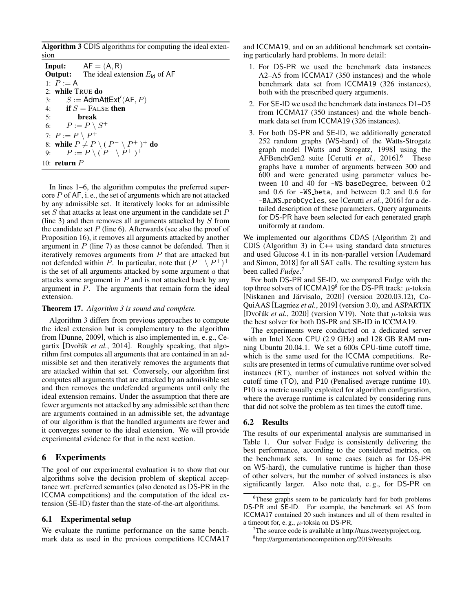<span id="page-4-1"></span>Algorithm 3 CDIS algorithms for computing the ideal extension

**Input:**  $AF = (A, R)$ **Output:** The ideal extension  $E_{\text{id}}$  of AF 1:  $P := A$ 2: while TRUE do 3:  $S := \text{AdmAttext}(AF, P)$ 4: if  $S =$  FALSE then 5: break 6:  $P := P \setminus S^+$ 7:  $P := P \setminus P^+$ 8: while  $P \neq P \setminus (P^{-} \setminus P^{+})^{+}$  do 9:  $P := P \setminus (P^- \setminus P^+)^+$ 10: return  $P$ 

In lines 1–6, the algorithm computes the preferred supercore  $P$  of  $AF$ , i. e., the set of arguments which are not attacked by any admissible set. It iteratively looks for an admissible set  $S$  that attacks at least one argument in the candidate set  $P$ (line 3) and then removes all arguments attacked by  $S$  from the candidate set  $P$  (line 6). Afterwards (see also the proof of Proposition [16\)](#page-3-5), it removes all arguments attacked by another argument in  $P$  (line 7) as those cannot be defended. Then it iteratively removes arguments from  $P$  that are attacked but not defended within P. In particular, note that  $(P^- \setminus P^+)^+$ is the set of all arguments attacked by some argument  $a$  that attacks some argument in  $P$  and is not attacked back by any argument in P. The arguments that remain form the ideal extension.

#### Theorem 17. *Algorithm [3](#page-4-1) is sound and complete.*

Algorithm [3](#page-4-1) differs from previous approaches to compute the ideal extension but is complementary to the algorithm from [\[Dunne, 2009\]](#page-6-15), which is also implemented in, e. g., Cegartix [Dvořák *et al.*, 2014]. Roughly speaking, that algorithm first computes all arguments that are contained in an admissible set and then iteratively removes the arguments that are attacked within that set. Conversely, our algorithm first computes all arguments that are attacked by an admissible set and then removes the undefended arguments until only the ideal extension remains. Under the assumption that there are fewer arguments not attacked by any admissible set than there are arguments contained in an admissible set, the advantage of our algorithm is that the handled arguments are fewer and it converges sooner to the ideal extension. We will provide experimental evidence for that in the next section.

# <span id="page-4-0"></span>6 Experiments

The goal of our experimental evaluation is to show that our algorithms solve the decision problem of skeptical acceptance wrt. preferred semantics (also denoted as DS-PR in the ICCMA competitions) and the computation of the ideal extension (SE-ID) faster than the state-of-the-art algorithms.

### 6.1 Experimental setup

We evaluate the runtime performance on the same benchmark data as used in the previous competitions ICCMA17 and ICCMA19, and on an additional benchmark set containing particularly hard problems. In more detail:

- 1. For DS-PR we used the benchmark data instances A2–A5 from ICCMA17 (350 instances) and the whole benchmark data set from ICCMA19 (326 instances), both with the prescribed query arguments.
- 2. For SE-ID we used the benchmark data instances D1–D5 from ICCMA17 (350 instances) and the whole benchmark data set from ICCMA19 (326 instances).
- 3. For both DS-PR and SE-ID, we additionally generated 252 random graphs (WS-hard) of the Watts-Strogatz graph model [\[Watts and Strogatz, 1998\]](#page-6-18) using the AFBenchGen2 suite [Cerutti *et al.*[, 2016\]](#page-6-19). [6](#page-4-2) These graphs have a number of arguments between 300 and 600 and were generated using parameter values between 10 and 40 for -WS baseDegree, between 0.2 and 0.6 for -WS beta, and between 0.2 and 0.6 for -BA WS probCycles, see [\[Cerutti](#page-6-19) *et al.*, 2016] for a detailed description of these parameters. Query arguments for DS-PR have been selected for each generated graph uniformly at random.

We implemented our algorithms CDAS (Algorithm [2\)](#page-3-1) and CDIS (Algorithm [3\)](#page-4-1) in C++ using standard data structures and used Glucose 4.1 in its non-parallel version [\[Audemard](#page-6-20) [and Simon, 2018\]](#page-6-20) for all SAT calls. The resulting system has been called *Fudge*. [7](#page-4-3)

For both DS-PR and SE-ID, we compared Fudge with the top three solvers of ICCMA19<sup>[8](#page-4-4)</sup> for the DS-PR track:  $\mu$ -toksia [Niskanen and Järvisalo, 2020] (version 2020.03.12), Co-QuiAAS [\[Lagniez](#page-6-21) *et al.*, 2019] (version 3.0), and ASPARTIX [Dvořák *et al.*, 2020] (version V19). Note that  $\mu$ -toksia was the best solver for both DS-PR and SE-ID in ICCMA19.

The experiments were conducted on a dedicated server with an Intel Xeon CPU (2.9 GHz) and 128 GB RAM running Ubuntu 20.04.1. We set a 600s CPU-time cutoff time, which is the same used for the ICCMA competitions. Results are presented in terms of cumulative runtime over solved instances (RT), number of instances not solved within the cutoff time (TO), and P10 (Penalised average runtime 10). P10 is a metric usually exploited for algorithm configuration, where the average runtime is calculated by considering runs that did not solve the problem as ten times the cutoff time.

### 6.2 Results

The results of our experimental analysis are summarised in Table [1.](#page-5-1) Our solver Fudge is consistently delivering the best performance, according to the considered metrics, on the benchmark sets. In some cases (such as for DS-PR on WS-hard), the cumulative runtime is higher than those of other solvers, but the number of solved instances is also significantly larger. Also note that, e. g., for DS-PR on

<span id="page-4-2"></span><sup>&</sup>lt;sup>6</sup>These graphs seem to be particularly hard for both problems DS-PR and SE-ID. For example, the benchmark set A5 from ICCMA17 contained 20 such instances and all of them resulted in a timeout for, e.g.,  $\mu$ -toksia on DS-PR.

<span id="page-4-3"></span><sup>7</sup>The source code is available at [http://taas.tweetyproject.org.](http://taas.tweetyproject.org)

<span id="page-4-4"></span><sup>8</sup> <http://argumentationcompetition.org/2019/results>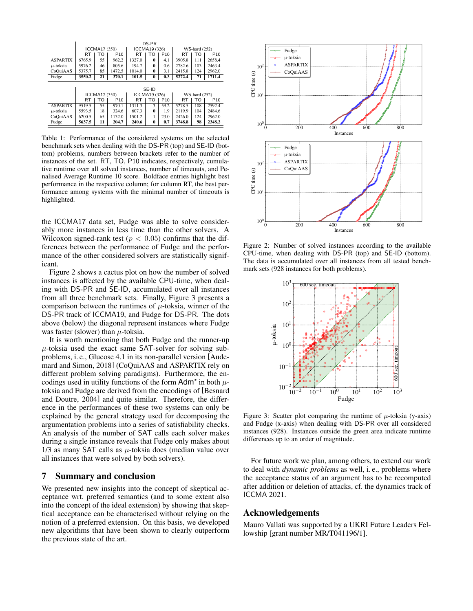<span id="page-5-1"></span>

|                 | DS-PR         |    |                 |               |              |                 |                      |     |                 |  |  |  |
|-----------------|---------------|----|-----------------|---------------|--------------|-----------------|----------------------|-----|-----------------|--|--|--|
|                 | ICCMA17 (350) |    |                 | ICCMA19 (326) |              |                 | <b>WS-hard</b> (252) |     |                 |  |  |  |
|                 | <b>RT</b>     | т٥ | P <sub>10</sub> | RT            | TΟ           | P <sub>10</sub> | <b>RT</b>            | TO  | P <sub>10</sub> |  |  |  |
| <b>ASPARTIX</b> | 6765.9        | 55 | 962.2           | 1327.0        | $\bf{0}$     | 4.1             | 3905.8               | 111 | 2658.4          |  |  |  |
| $\mu$ -toksia   | 5976.2        | 46 | 805.6           | 194.7         | $\bf{0}$     | 0.6             | 2782.6               | 103 | 2463.4          |  |  |  |
| CoQuiAAS        | 5375.7        | 85 | 1472.5          | 1014.0        | $\bf{0}$     | 3.1             | 2415.8               | 124 | 2962.0          |  |  |  |
| Fudge           | 3550.2        | 21 | 370.1           | 101.5         | $\mathbf{0}$ | 0.3             | 5272.4               | 71  | 1711.4          |  |  |  |
|                 |               |    |                 |               |              |                 |                      |     |                 |  |  |  |
|                 | SE-ID         |    |                 |               |              |                 |                      |     |                 |  |  |  |
|                 | ICCMA17 (350) |    |                 | ICCMA19 (326) |              |                 | <b>WS-hard</b> (252) |     |                 |  |  |  |
|                 | <b>RT</b>     | т٥ | P <sub>10</sub> | RT            | TΟ           | P <sub>10</sub> | RT                   | TΟ  | P <sub>10</sub> |  |  |  |
| <b>ASPARTIX</b> | 9519.5        | 55 | 970.1           | 1311.3        | 3            | 59.2            | 5278.5               | 108 | 2592.4          |  |  |  |
| $\mu$ -toksia   | 5593.5        | 18 | 324.6           | 607.3         | $\bf{0}$     | 1.9             | 2119.9               | 104 | 2484.6          |  |  |  |
| CoQuiAAS        | 6200.5        | 65 | 1132.0          | 1501.2        | 1            | 23.0            | 2426.0               | 124 | 2962.0          |  |  |  |
| Fudge           | 5637.5        | 11 | 204.7           | 240.6         | $\bf{0}$     | 0.7             | 3748.8               | 98  | 2348.2          |  |  |  |

Table 1: Performance of the considered systems on the selected benchmark sets when dealing with the DS-PR (top) and SE-ID (bottom) problems, numbers between brackets refer to the number of instances of the set. RT, TO, P10 indicates, respectively, cumulative runtime over all solved instances, number of timeouts, and Penalised Average Runtime 10 score. Boldface entries highlight best performance in the respective column; for column RT, the best performance among systems with the minimal number of timeouts is highlighted.

the ICCMA17 data set, Fudge was able to solve considerably more instances in less time than the other solvers. A Wilcoxon signed-rank test ( $p < 0.05$ ) confirms that the differences between the performance of Fudge and the performance of the other considered solvers are statistically significant.

Figure [2](#page-5-2) shows a cactus plot on how the number of solved instances is affected by the available CPU-time, when dealing with DS-PR and SE-ID, accumulated over all instances from all three benchmark sets. Finally, Figure [3](#page-5-2) presents a comparison between the runtimes of  $\mu$ -toksia, winner of the DS-PR track of ICCMA19, and Fudge for DS-PR. The dots above (below) the diagonal represent instances where Fudge was faster (slower) than  $\mu$ -toksia.

It is worth mentioning that both Fudge and the runner-up  $\mu$ -toksia used the exact same SAT-solver for solving subproblems, i. e., Glucose 4.1 in its non-parallel version [\[Aude](#page-6-20)[mard and Simon, 2018\]](#page-6-20) (CoQuiAAS and ASPARTIX rely on different problem solving paradigms). Furthermore, the encodings used in utility functions of the form  $Adm^*$  in both  $\mu$ toksia and Fudge are derived from the encodings of [\[Besnard](#page-6-17) [and Doutre, 2004\]](#page-6-17) and quite similar. Therefore, the difference in the performances of these two systems can only be explained by the general strategy used for decomposing the argumentation problems into a series of satisfiability checks. An analysis of the number of SAT calls each solver makes during a single instance reveals that Fudge only makes about 1/3 as many SAT calls as  $\mu$ -toksia does (median value over all instances that were solved by both solvers).

# <span id="page-5-0"></span>7 Summary and conclusion

We presented new insights into the concept of skeptical acceptance wrt. preferred semantics (and to some extent also into the concept of the ideal extension) by showing that skeptical acceptance can be characterised without relying on the notion of a preferred extension. On this basis, we developed new algorithms that have been shown to clearly outperform the previous state of the art.

<span id="page-5-2"></span>

Figure 2: Number of solved instances according to the available CPU-time, when dealing with DS-PR (top) and SE-ID (bottom). The data is accumulated over all instances from all tested benchmark sets (928 instances for both problems).



Figure 3: Scatter plot comparing the runtime of  $\mu$ -toksia (y-axis) and Fudge (x-axis) when dealing with DS-PR over all considered instances (928). Instances outside the green area indicate runtime differences up to an order of magnitude.

For future work we plan, among others, to extend our work to deal with *dynamic problems* as well, i. e., problems where the acceptance status of an argument has to be recomputed after addition or deletion of attacks, cf. the dynamics track of ICCMA 2021.

### Acknowledgements

Mauro Vallati was supported by a UKRI Future Leaders Fellowship [grant number MR/T041196/1].